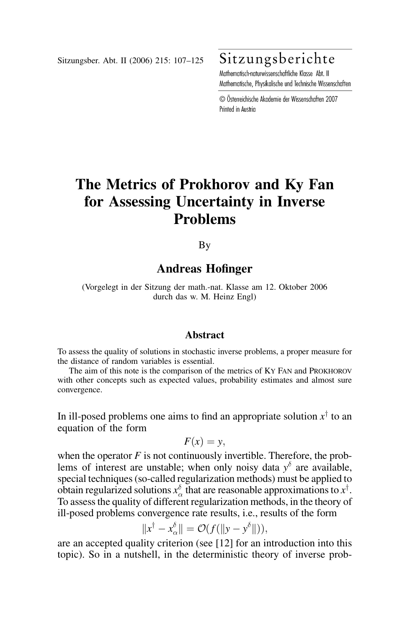Sitzungsber. Abt. II (2006) 215: 107–125

# Sitzungsberichte

Mathematisch-naturwissenschaftliche Klasse Abt II Mathematische, Physikalische und Technische Wissenschaften

© Österreichische Akademie der Wissenschaften 2007 Printed in Austria

# The Metrics of Prokhorov and Ky Fan for Assessing Uncertainty in Inverse Problems

By

# Andreas Hofinger

(Vorgelegt in der Sitzung der math.-nat. Klasse am 12. Oktober 2006 durch das w. M. Heinz Engl)

### **Abstract**

To assess the quality of solutions in stochastic inverse problems, a proper measure for the distance of random variables is essential.

The aim of this note is the comparison of the metrics of KY FAN and PROKHOROV with other concepts such as expected values, probability estimates and almost sure convergence.

In ill-posed problems one aims to find an appropriate solution  $x^{\dagger}$  to an equation of the form

$$
F(x) = y,
$$

when the operator  $F$  is not continuously invertible. Therefore, the problems of interest are unstable; when only noisy data  $y^{\delta}$  are available, special techniques (so-called regularization methods) must be applied to obtain regularized solutions  $x_\alpha^{\delta}$  that are reasonable approximations to  $x^\dagger$ . To assess the quality of different regularization methods, in the theory of ill-posed problems convergence rate results, i.e., results of the form

$$
||x^{\dagger}-x_{\alpha}^{\delta}||=\mathcal{O}(f(||y-y^{\delta}||)),
$$

are an accepted quality criterion (see [12] for an introduction into this topic). So in a nutshell, in the deterministic theory of inverse prob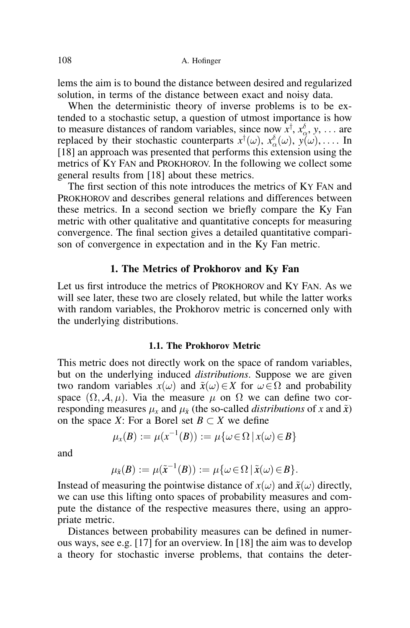lems the aim is to bound the distance between desired and regularized solution, in terms of the distance between exact and noisy data.

When the deterministic theory of inverse problems is to be extended to a stochastic setup, a question of utmost importance is how to measure distances of random variables, since now  $x^{\dagger}$ ,  $x^{\delta}_0$ , y, ... are replaced by their stochastic counterparts  $x^{\dagger}(\omega)$ ,  $x^{\delta}_{\alpha}(\omega)$ ,  $y(\omega)$ ,.... In  $[18]$  an approach was presented that performs this extension using the metrics of KY FAN and PROKHOROV. In the following we collect some general results from [18] about these metrics.

The first section of this note introduces the metrics of KY FAN and PROKHOROV and describes general relations and differences between these metrics. In a second section we briefly compare the Ky Fan metric with other qualitative and quantitative concepts for measuring convergence. The final section gives a detailed quantitative comparison of convergence in expectation and in the Ky Fan metric.

## 1. The Metrics of Prokhorov and Ky Fan

Let us first introduce the metrics of PROKHOROV and KY FAN. As we will see later, these two are closely related, but while the latter works with random variables, the Prokhorov metric is concerned only with the underlying distributions.

### 1.1. The Prokhorov Metric

This metric does not directly work on the space of random variables, but on the underlying induced distributions. Suppose we are given two random variables  $x(\omega)$  and  $\tilde{x}(\omega) \in X$  for  $\omega \in \Omega$  and probability space  $(\Omega, \mathcal{A}, \mu)$ . Via the measure  $\mu$  on  $\Omega$  we can define two corresponding measures  $\mu_x$  and  $\mu_{\tilde{x}}$  (the so-called *distributions* of x and  $\tilde{x}$ ) on the space X: For a Borel set  $B \subset X$  we define

$$
\mu_x(B) := \mu(x^{-1}(B)) := \mu\{\omega \in \Omega \mid x(\omega) \in B\}
$$

and

$$
\mu_{\tilde{\mathbf{x}}}(B) := \mu(\tilde{\mathbf{x}}^{-1}(B)) := \mu\{\omega \in \Omega \,|\, \tilde{\mathbf{x}}(\omega) \in B\}.
$$

Instead of measuring the pointwise distance of  $x(\omega)$  and  $\tilde{x}(\omega)$  directly, we can use this lifting onto spaces of probability measures and compute the distance of the respective measures there, using an appropriate metric.

Distances between probability measures can be defined in numerous ways, see e.g. [17] for an overview. In [18] the aim was to develop a theory for stochastic inverse problems, that contains the deter-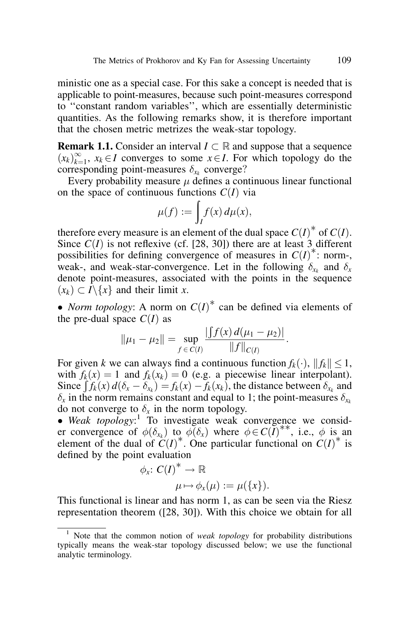ministic one as a special case. For this sake a concept is needed that is applicable to point-measures, because such point-measures correspond to ''constant random variables'', which are essentially deterministic quantities. As the following remarks show, it is therefore important that the chosen metric metrizes the weak-star topology.

**Remark 1.1.** Consider an interval  $I \subset \mathbb{R}$  and suppose that a sequence  $(x_k)_{k=1}^{\infty}$ ,  $x_k \in I$  converges to some  $x \in I$ . For which topology do the corresponding point-measures  $\delta_{x_k}$  converge?

Every probability measure  $\mu$  defines a continuous linear functional on the space of continuous functions  $C(I)$  via

$$
\mu(f) := \int_I f(x) \, d\mu(x),
$$

therefore every measure is an element of the dual space  $C(I)^*$  of  $C(I)$ . Since  $C(I)$  is not reflexive (cf. [28, 30]) there are at least 3 different possibilities for defining convergence of measures in  $C(I)^*$ : norm-, weak-, and weak-star-convergence. Let in the following  $\delta_{x_k}$  and  $\delta_x$ denote point-measures, associated with the points in the sequence  $(x_k) \subset I \backslash \{x\}$  and their limit x.

• *Norm topology*: A norm on  $C(I)^*$  can be defined via elements of the pre-dual space  $C(I)$  as

$$
\|\mu_1 - \mu_2\| = \sup_{f \in C(I)} \frac{|f(x) d(\mu_1 - \mu_2)|}{\|f\|_{C(I)}}
$$

:

For given k we can always find a continuous function  $f_k(\cdot)$ ,  $||f_k|| \leq 1$ , with  $f_k(x) = 1$  and  $f_k(x_k) = 0$  (e.g. a piecewise linear interpolant). Since  $\int f_k(x) = 1$  and  $f_k(x_k) = 0$  (e.g. a precewise find interpotant).<br>Since  $\int f_k(x) d(\delta_x - \delta_{x_k}) = f_k(x) - f_k(x_k)$ , the distance between  $\delta_{x_k}$  and  $\delta_x$  in the norm remains constant and equal to 1; the point-measures  $\delta_{x_k}$ do not converge to  $\delta_x$  in the norm topology.

 $\bullet$  Weak topology:<sup>1</sup> To investigate weak convergence we consider convergence of  $\phi(\delta_{x_k})$  to  $\phi(\delta_x)$  where  $\phi \in C(I)^{**}$ , i.e.,  $\phi$  is an element of the dual of  $C(I)^*$ . One particular functional on  $C(I)^*$  is defined by the point evaluation

$$
\phi_x: C(I)^* \to \mathbb{R}
$$
  

$$
\mu \mapsto \phi_x(\mu) := \mu(\{x\}).
$$

This functional is linear and has norm 1, as can be seen via the Riesz representation theorem ([28, 30]). With this choice we obtain for all

Note that the common notion of *weak topology* for probability distributions typically means the weak-star topology discussed below; we use the functional analytic terminology.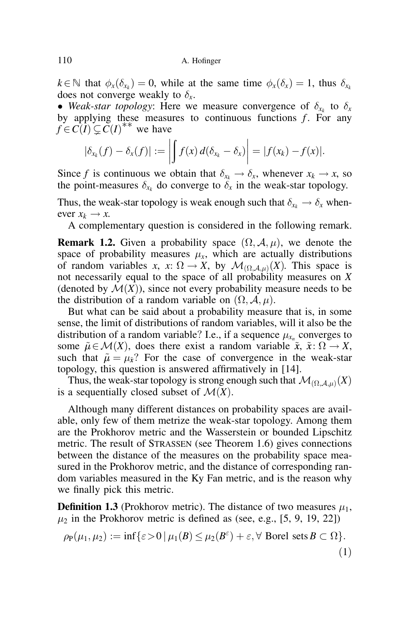$k \in \mathbb{N}$  that  $\phi_x(\delta_{x_k}) = 0$ , while at the same time  $\phi_x(\delta_x) = 1$ , thus  $\delta_{x_k}$ does not converge weakly to  $\delta_x$ .

• Weak-star topology: Here we measure convergence of  $\delta_{x_k}$  to  $\delta_x$ by applying these measures to continuous functions  $f$ . For any  $f \in C(I) \subsetneq C(I)^{**}$  we have

$$
|\delta_{x_k}(f) - \delta_x(f)| := \left| \int f(x) d(\delta_{x_k} - \delta_x) \right| = |f(x_k) - f(x)|.
$$

Since f is continuous we obtain that  $\delta_{x_k} \to \delta_x$ , whenever  $x_k \to x$ , so the point-measures  $\delta_{x_k}$  do converge to  $\delta_x$  in the weak-star topology.

Thus, the weak-star topology is weak enough such that  $\delta_{x_k} \to \delta_x$  whenever  $x_k \rightarrow x$ .

A complementary question is considered in the following remark.

**Remark 1.2.** Given a probability space  $(\Omega, \mathcal{A}, \mu)$ , we denote the space of probability measures  $\mu_x$ , which are actually distributions of random variables x, x:  $\Omega \to X$ , by  $\mathcal{M}_{(\Omega, \mathcal{A}, \mu)}(X)$ . This space is not necessarily equal to the space of all probability measures on X (denoted by  $\mathcal{M}(X)$ ), since not every probability measure needs to be the distribution of a random variable on  $(\Omega, \mathcal{A}, \mu)$ .

But what can be said about a probability measure that is, in some sense, the limit of distributions of random variables, will it also be the distribution of a random variable? I.e., if a sequence  $\mu_{x_n}$  converges to some  $\tilde{\mu} \in \mathcal{M}(X)$ , does there exist a random variable  $\tilde{x}$ ,  $\tilde{x}$ :  $\Omega \to X$ , such that  $\tilde{\mu} = \mu_{\tilde{x}}$ ? For the case of convergence in the weak-star topology, this question is answered affirmatively in [14].

Thus, the weak-star topology is strong enough such that  $\mathcal{M}_{(\Omega, A,\mu)}(X)$ is a sequentially closed subset of  $\mathcal{M}(X)$ .

Although many different distances on probability spaces are available, only few of them metrize the weak-star topology. Among them are the Prokhorov metric and the Wasserstein or bounded Lipschitz metric. The result of STRASSEN (see Theorem 1.6) gives connections between the distance of the measures on the probability space measured in the Prokhorov metric, and the distance of corresponding random variables measured in the Ky Fan metric, and is the reason why we finally pick this metric.

**Definition 1.3** (Prokhorov metric). The distance of two measures  $\mu_1$ ,  $\mu_2$  in the Prokhorov metric is defined as (see, e.g., [5, 9, 19, 22])

$$
\rho_{\mathsf{P}}(\mu_1, \mu_2) := \inf \{ \varepsilon > 0 \, | \, \mu_1(B) \le \mu_2(B^\varepsilon) + \varepsilon, \forall \text{ Borel sets } B \subset \Omega \}. \tag{1}
$$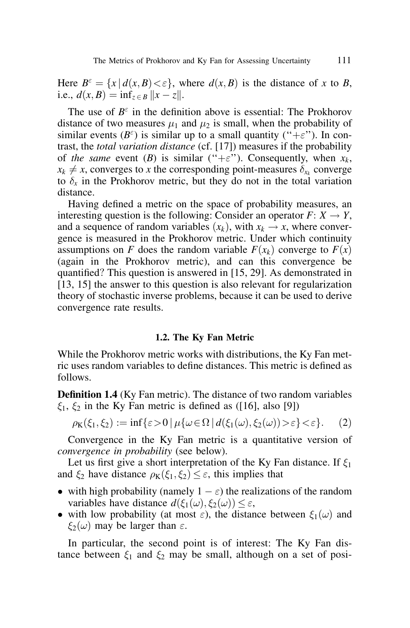Here  $B^{\varepsilon} = \{x \mid d(x, B) < \varepsilon\}$ , where  $d(x, B)$  is the distance of x to B, i.e.,  $d(x, B) = \inf_{z \in B} ||x - z||$ .

The use of  $B^{\varepsilon}$  in the definition above is essential: The Prokhorov distance of two measures  $\mu_1$  and  $\mu_2$  is small, when the probability of similar events  $(B^{\varepsilon})$  is similar up to a small quantity ("+ $\varepsilon$ "). In contrast, the total variation distance (cf. [17]) measures if the probability of the same event (B) is similar ("+ $\varepsilon$ "). Consequently, when  $x_k$ ,  $x_k \neq x$ , converges to x the corresponding point-measures  $\delta_{x_k}$  converge to  $\delta_x$  in the Prokhorov metric, but they do not in the total variation distance.

Having defined a metric on the space of probability measures, an interesting question is the following: Consider an operator  $F: X \to Y$ , and a sequence of random variables  $(x_k)$ , with  $x_k \rightarrow x$ , where convergence is measured in the Prokhorov metric. Under which continuity assumptions on F does the random variable  $F(x_k)$  converge to  $F(x)$ (again in the Prokhorov metric), and can this convergence be quantified? This question is answered in [15, 29]. As demonstrated in [13, 15] the answer to this question is also relevant for regularization theory of stochastic inverse problems, because it can be used to derive convergence rate results.

#### 1.2. The Ky Fan Metric

While the Prokhorov metric works with distributions, the Ky Fan metric uses random variables to define distances. This metric is defined as follows.

Definition 1.4 (Ky Fan metric). The distance of two random variables  $\xi_1, \xi_2$  in the Ky Fan metric is defined as ([16], also [9])

$$
\rho_K(\xi_1,\xi_2) := \inf \{ \varepsilon > 0 \mid \mu \{ \omega \in \Omega \mid d(\xi_1(\omega),\xi_2(\omega)) > \varepsilon \} < \varepsilon \}. \tag{2}
$$

Convergence in the Ky Fan metric is a quantitative version of convergence in probability (see below).

Let us first give a short interpretation of the Ky Fan distance. If  $\xi_1$ and  $\xi_2$  have distance  $\rho_K(\xi_1, \xi_2) \leq \varepsilon$ , this implies that

- with high probability (namely  $1 \varepsilon$ ) the realizations of the random variables have distance  $d(\xi_1(\omega), \xi_2(\omega)) \leq \varepsilon$ ,
- with low probability (at most  $\varepsilon$ ), the distance between  $\xi_1(\omega)$  and  $\xi_2(\omega)$  may be larger than  $\varepsilon$ .

In particular, the second point is of interest: The Ky Fan distance between  $\xi_1$  and  $\xi_2$  may be small, although on a set of posi-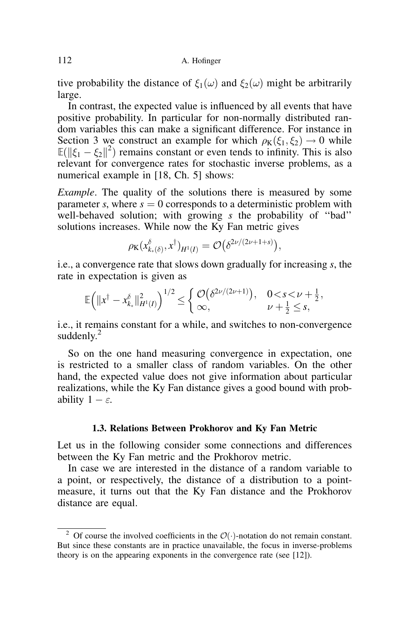tive probability the distance of  $\xi_1(\omega)$  and  $\xi_2(\omega)$  might be arbitrarily large.

In contrast, the expected value is influenced by all events that have positive probability. In particular for non-normally distributed random variables this can make a significant difference. For instance in Section 3 we construct an example for which  $\rho_K(\xi_1, \xi_2) \rightarrow 0$  while  $\mathbb{E}(\|\xi_1 - \xi_2\|^2)$  remains constant or even tends to infinity. This is also relevant for convergence rates for stochastic inverse problems, as a numerical example in [18, Ch. 5] shows:

Example. The quality of the solutions there is measured by some parameter s, where  $s = 0$  corresponds to a deterministic problem with well-behaved solution; with growing s the probability of "bad" solutions increases. While now the Ky Fan metric gives

$$
\rho_{\mathrm{K}}(x_{k_*(\delta)}^\delta, x^\dagger)_{H^1(I)} = \mathcal{O}\big(\delta^{2\nu/(2\nu+1+s)}\big),
$$

i.e., a convergence rate that slows down gradually for increasing s, the rate in expectation is given as

$$
\mathbb{E}\Big(\|x^{\dagger}-x_{k_*}^{\delta}\|_{H^1(I)}^2\Big)^{1/2}\leq \begin{cases} \mathcal{O}\big(\delta^{2\nu/(2\nu+1)}\big), & 0 < s < \nu + \frac{1}{2}, \\ \infty, & \nu + \frac{1}{2} \leq s, \end{cases}
$$

i.e., it remains constant for a while, and switches to non-convergence suddenly. $2$ 

So on the one hand measuring convergence in expectation, one is restricted to a smaller class of random variables. On the other hand, the expected value does not give information about particular realizations, while the Ky Fan distance gives a good bound with probability  $1 - \varepsilon$ .

## 1.3. Relations Between Prokhorov and Ky Fan Metric

Let us in the following consider some connections and differences between the Ky Fan metric and the Prokhorov metric.

In case we are interested in the distance of a random variable to a point, or respectively, the distance of a distribution to a pointmeasure, it turns out that the Ky Fan distance and the Prokhorov distance are equal.

<sup>&</sup>lt;sup>2</sup> Of course the involved coefficients in the  $\mathcal{O}(\cdot)$ -notation do not remain constant. But since these constants are in practice unavailable, the focus in inverse-problems theory is on the appearing exponents in the convergence rate (see [12]).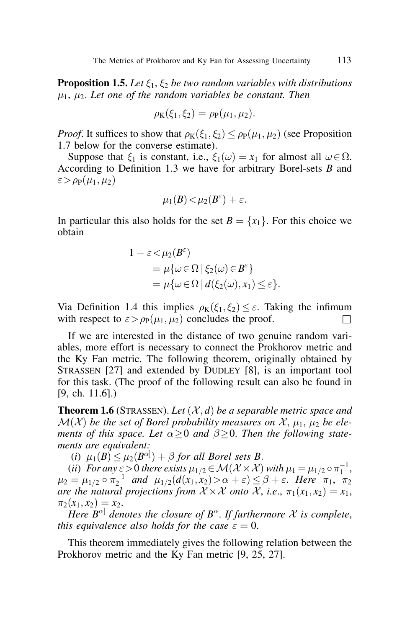**Proposition 1.5.** Let  $\xi_1, \xi_2$  be two random variables with distributions  $\mu_1$ ,  $\mu_2$ . Let one of the random variables be constant. Then

$$
\rho_{\mathbf{K}}(\xi_1,\xi_2)=\rho_{\mathbf{P}}(\mu_1,\mu_2).
$$

*Proof.* It suffices to show that  $\rho_K(\xi_1, \xi_2) \leq \rho_P(\mu_1, \mu_2)$  (see Proposition 1.7 below for the converse estimate).

Suppose that  $\xi_1$  is constant, i.e.,  $\xi_1(\omega) = x_1$  for almost all  $\omega \in \Omega$ . According to Definition 1.3 we have for arbitrary Borel-sets  $B$  and  $\varepsilon > \rho_P(\mu_1, \mu_2)$ 

$$
\mu_1(B) < \mu_2(B^{\varepsilon}) + \varepsilon.
$$

In particular this also holds for the set  $B = \{x_1\}$ . For this choice we obtain

$$
1 - \varepsilon < \mu_2(B^{\varepsilon})
$$
  
=  $\mu\{\omega \in \Omega \mid \xi_2(\omega) \in B^{\varepsilon}\}\$   
=  $\mu\{\omega \in \Omega \mid d(\xi_2(\omega), x_1) \le \varepsilon\}.$ 

Via Definition 1.4 this implies  $\rho_K(\xi_1, \xi_2) \leq \varepsilon$ . Taking the infimum with respect to  $\varepsilon > \rho_P(\mu_1, \mu_2)$  concludes the proof.

If we are interested in the distance of two genuine random variables, more effort is necessary to connect the Prokhorov metric and the Ky Fan metric. The following theorem, originally obtained by STRASSEN [27] and extended by DUDLEY [8], is an important tool for this task. (The proof of the following result can also be found in [9, ch. 11.6].)

**Theorem 1.6** (STRASSEN). Let  $(\mathcal{X}, d)$  be a separable metric space and  $\mathcal{M}(\mathcal{X})$  be the set of Borel probability measures on X,  $\mu_1$ ,  $\mu_2$  be elements of this space. Let  $\alpha \geq 0$  and  $\beta \geq 0$ . Then the following statements are equivalent:

(i)  $\mu_1(B) \leq \mu_2(B^{\alpha}) + \beta$  for all Borel sets B.

(ii) For any  $\varepsilon > 0$  there exists  $\mu_{1/2} \in \mathcal{M}(\mathcal{X} \times \mathcal{X})$  with  $\mu_1 = \mu_{1/2} \circ \pi_1^{-1}$ ,  $\mu_2 = \mu_{1/2} \circ \pi_2^{-1}$  and  $\mu_{1/2}(d(x_1, x_2) > \alpha + \varepsilon) \leq \beta + \varepsilon$ . Here  $\pi_1$ ,  $\pi_2$ are the natural projections from  $\mathcal{X} \times \mathcal{X}$  onto  $\mathcal{X}$ , i.e.,  $\pi_1(x_1, x_2) = x_1$ ,  $\pi_2(x_1, x_2) = x_2.$ 

Here  $B^{\alpha}$  denotes the closure of  $B^{\alpha}$ . If furthermore X is complete, this equivalence also holds for the case  $\varepsilon = 0$ .

This theorem immediately gives the following relation between the Prokhorov metric and the Ky Fan metric [9, 25, 27].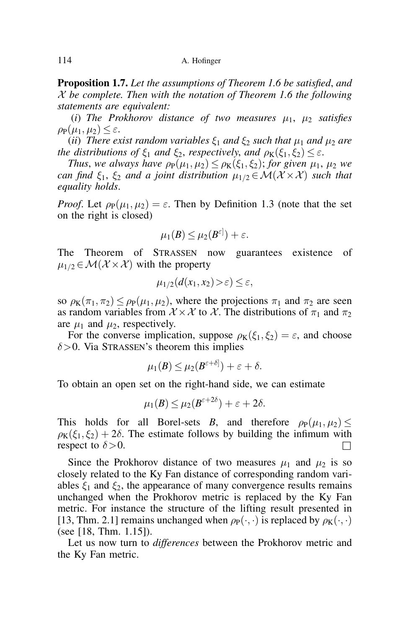**Proposition 1.7.** Let the assumptions of Theorem 1.6 be satisfied, and  $X$  be complete. Then with the notation of Theorem 1.6 the following statements are equivalent:

(i) The Prokhorov distance of two measures  $\mu_1$ ,  $\mu_2$  satisfies  $\rho_P(\mu_1, \mu_2) \leq \varepsilon$ .

(ii) There exist random variables  $\xi_1$  and  $\xi_2$  such that  $\mu_1$  and  $\mu_2$  are the distributions of  $\xi_1$  and  $\xi_2$ , respectively, and  $\rho_K(\xi_1, \xi_2) \leq \varepsilon$ .

Thus, we always have  $\rho_P(\mu_1, \mu_2) \leq \rho_K(\xi_1, \xi_2)$ ; for given  $\mu_1$ ,  $\mu_2$  we can find  $\xi_1, \xi_2$  and a joint distribution  $\mu_{1/2} \in \mathcal{M}(\mathcal{X} \times \mathcal{X})$  such that equality holds.

*Proof.* Let  $\rho_P(\mu_1, \mu_2) = \varepsilon$ . Then by Definition 1.3 (note that the set on the right is closed)

$$
\mu_1(B)\leq \mu_2(B^{\varepsilon]})+\varepsilon.
$$

The Theorem of STRASSEN now guarantees existence of  $\mu_{1/2} \in \mathcal{M}(\mathcal{X} \times \mathcal{X})$  with the property

$$
\mu_{1/2}(d(x_1,x_2)>\varepsilon)\leq\varepsilon,
$$

so  $\rho_K(\pi_1, \pi_2) \leq \rho_P(\mu_1, \mu_2)$ , where the projections  $\pi_1$  and  $\pi_2$  are seen as random variables from  $X \times X$  to X. The distributions of  $\pi_1$  and  $\pi_2$ are  $\mu_1$  and  $\mu_2$ , respectively.

For the converse implication, suppose  $\rho_K(\xi_1, \xi_2) = \varepsilon$ , and choose  $\delta$  > 0. Via STRASSEN's theorem this implies

$$
\mu_1(B) \leq \mu_2(B^{\varepsilon+\delta}) + \varepsilon + \delta.
$$

To obtain an open set on the right-hand side, we can estimate

$$
\mu_1(B) \leq \mu_2(B^{\varepsilon+2\delta}) + \varepsilon + 2\delta.
$$

This holds for all Borel-sets B, and therefore  $\rho_P(\mu_1, \mu_2)$  $\rho_K(\xi_1, \xi_2) + 2\delta$ . The estimate follows by building the infimum with respect to  $\delta$  > 0.

Since the Prokhorov distance of two measures  $\mu_1$  and  $\mu_2$  is so closely related to the Ky Fan distance of corresponding random variables  $\xi_1$  and  $\xi_2$ , the appearance of many convergence results remains unchanged when the Prokhorov metric is replaced by the Ky Fan metric. For instance the structure of the lifting result presented in [13, Thm. 2.1] remains unchanged when  $\rho_P(\cdot, \cdot)$  is replaced by  $\rho_K(\cdot, \cdot)$ (see [18, Thm. 1.15]).

Let us now turn to differences between the Prokhorov metric and the Ky Fan metric.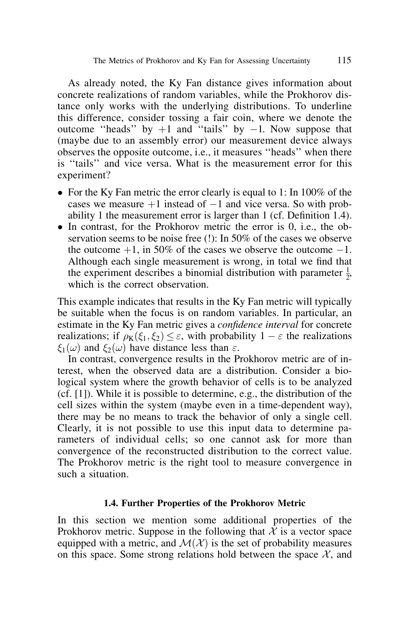As already noted, the Ky Fan distance gives information about concrete realizations of random variables, while the Prokhorov distance only works with the underlying distributions. To underline this difference, consider tossing a fair coin, where we denote the outcome "heads" by  $+1$  and "tails" by  $-1$ . Now suppose that (maybe due to an assembly error) our measurement device always observes the opposite outcome, i.e., it measures ''heads'' when there is ''tails'' and vice versa. What is the measurement error for this experiment?

- For the Ky Fan metric the error clearly is equal to 1: In 100% of the cases we measure  $+1$  instead of  $-1$  and vice versa. So with probability 1 the measurement error is larger than 1 (cf. Definition 1.4).
- $\bullet$  In contrast, for the Prokhorov metric the error is 0, i.e., the observation seems to be noise free (!): In 50% of the cases we observe the outcome  $+1$ , in 50% of the cases we observe the outcome  $-1$ . Although each single measurement is wrong, in total we find that the experiment describes a binomial distribution with parameter  $\frac{1}{2}$ , which is the correct observation.

This example indicates that results in the Ky Fan metric will typically be suitable when the focus is on random variables. In particular, an estimate in the Ky Fan metric gives a *confidence interval* for concrete realizations; if  $\rho_K(\xi_1, \xi_2) \leq \varepsilon$ , with probability  $1 - \varepsilon$  the realizations  $\xi_1(\omega)$  and  $\xi_2(\omega)$  have distance less than  $\varepsilon$ .

In contrast, convergence results in the Prokhorov metric are of interest, when the observed data are a distribution. Consider a biological system where the growth behavior of cells is to be analyzed (cf. [1]). While it is possible to determine, e.g., the distribution of the cell sizes within the system (maybe even in a time-dependent way), there may be no means to track the behavior of only a single cell. Clearly, it is not possible to use this input data to determine parameters of individual cells; so one cannot ask for more than convergence of the reconstructed distribution to the correct value. The Prokhorov metric is the right tool to measure convergence in such a situation.

### 1.4. Further Properties of the Prokhorov Metric

In this section we mention some additional properties of the Prokhorov metric. Suppose in the following that  $\hat{\mathcal{X}}$  is a vector space equipped with a metric, and  $\mathcal{M}(\mathcal{X})$  is the set of probability measures on this space. Some strong relations hold between the space  $\mathcal{X}$ , and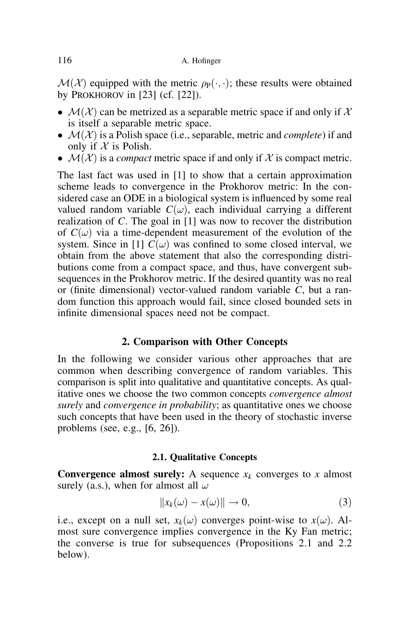$\mathcal{M}(\mathcal{X})$  equipped with the metric  $\rho_P(\cdot, \cdot)$ ; these results were obtained by PROKHOROV in  $[23]$  (cf.  $[22]$ ).

- $\bullet$   $\mathcal{M}(\mathcal{X})$  can be metrized as a separable metric space if and only if X is itself a separable metric space.
- $\bullet$   $\mathcal{M}(\mathcal{X})$  is a Polish space (i.e., separable, metric and *complete*) if and only if  $X$  is Polish.
- $\bullet$   $\mathcal{M}(\mathcal{X})$  is a *compact* metric space if and only if X is compact metric.

The last fact was used in [1] to show that a certain approximation scheme leads to convergence in the Prokhorov metric: In the considered case an ODE in a biological system is influenced by some real valued random variable  $C(\omega)$ , each individual carrying a different realization of C. The goal in [1] was now to recover the distribution of  $C(\omega)$  via a time-dependent measurement of the evolution of the system. Since in [1]  $\overline{C}(\omega)$  was confined to some closed interval, we obtain from the above statement that also the corresponding distributions come from a compact space, and thus, have convergent subsequences in the Prokhorov metric. If the desired quantity was no real or (finite dimensional) vector-valued random variable  $\tilde{C}$ , but a random function this approach would fail, since closed bounded sets in infinite dimensional spaces need not be compact.

# 2. Comparison with Other Concepts

In the following we consider various other approaches that are common when describing convergence of random variables. This comparison is split into qualitative and quantitative concepts. As qualitative ones we choose the two common concepts convergence almost surely and *convergence in probability*; as quantitative ones we choose such concepts that have been used in the theory of stochastic inverse problems (see, e.g., [6, 26]).

# 2.1. Qualitative Concepts

**Convergence almost surely:** A sequence  $x_k$  converges to x almost surely (a.s.), when for almost all  $\omega$ 

$$
||x_k(\omega) - x(\omega)|| \to 0,
$$
\n(3)

i.e., except on a null set,  $x_k(\omega)$  converges point-wise to  $x(\omega)$ . Almost sure convergence implies convergence in the Ky Fan metric; the converse is true for subsequences (Propositions 2.1 and 2.2 below).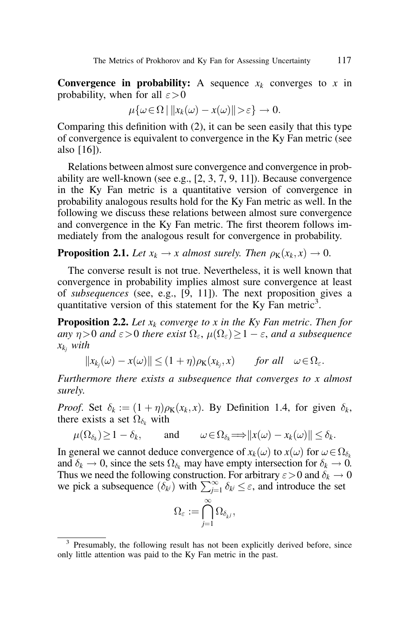**Convergence in probability:** A sequence  $x_k$  converges to x in probability, when for all  $\varepsilon > 0$ 

$$
\mu\{\omega\in\Omega\mid ||x_k(\omega)-x(\omega)||>\varepsilon\}\to 0.
$$

Comparing this definition with (2), it can be seen easily that this type of convergence is equivalent to convergence in the Ky Fan metric (see also [16]).

Relations between almost sure convergence and convergence in probability are well-known (see e.g., [2, 3, 7, 9, 11]). Because convergence in the Ky Fan metric is a quantitative version of convergence in probability analogous results hold for the Ky Fan metric as well. In the following we discuss these relations between almost sure convergence and convergence in the Ky Fan metric. The first theorem follows immediately from the analogous result for convergence in probability.

**Proposition 2.1.** Let  $x_k \to x$  almost surely. Then  $\rho_K(x_k, x) \to 0$ .

The converse result is not true. Nevertheless, it is well known that convergence in probability implies almost sure convergence at least of subsequences (see, e.g., [9, 11]). The next proposition gives a quantitative version of this statement for the Ky Fan metric<sup>3</sup>.

**Proposition 2.2.** Let  $x_k$  converge to x in the Ky Fan metric. Then for any  $\eta$  > 0 and  $\varepsilon$  > 0 there exist  $\Omega_{\varepsilon}$ ,  $\mu(\Omega_{\varepsilon})$   $\geq$  1  $\varepsilon$ , and a subsequence  $x_{k_i}$  with

$$
||x_{k_j}(\omega) - x(\omega)|| \le (1 + \eta)\rho_K(x_{k_j}, x) \quad \text{for all} \quad \omega \in \Omega_{\varepsilon}.
$$

Furthermore there exists a subsequence that converges to x almost surely.

*Proof.* Set  $\delta_k := (1 + \eta)\rho_K(x_k, x)$ . By Definition 1.4, for given  $\delta_k$ , there exists a set  $\Omega_{\delta_k}$  with

$$
\mu(\Omega_{\delta_k}) \ge 1 - \delta_k
$$
, and  $\omega \in \Omega_{\delta_k} \Longrightarrow ||x(\omega) - x_k(\omega)|| \le \delta_k$ .

In general we cannot deduce convergence of  $x_k(\omega)$  to  $x(\omega)$  for  $\omega \in \Omega_{\delta_k}$ and  $\delta_k \to 0$ , since the sets  $\Omega_{\delta_k}$  may have empty intersection for  $\delta_k \to 0$ . Thus we need the following construction. For arbitrary  $\varepsilon > 0$  and  $\delta_k \to 0$ we pick a subsequence  $(\delta_{kj})$  with  $\sum_{j=1}^{\infty} \delta_{kj} \leq \varepsilon$ , and introduce the set

$$
\Omega_\varepsilon:=\bigcap_{j=1}^\infty \Omega_{\delta_{k^j}},
$$

<sup>&</sup>lt;sup>3</sup> Presumably, the following result has not been explicitly derived before, since only little attention was paid to the Ky Fan metric in the past.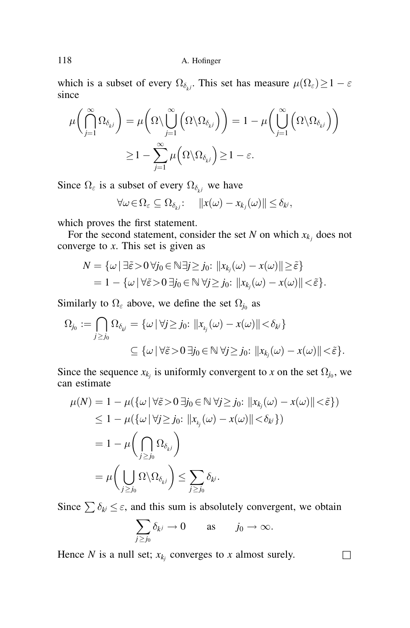which is a subset of every  $\Omega_{\delta_{k,l}}$ . This set has measure  $\mu(\Omega_{\varepsilon}) \geq 1 - \varepsilon$ since

$$
\mu\left(\bigcap_{j=1}^{\infty} \Omega_{\delta_{kj}}\right) = \mu\left(\Omega \setminus \bigcup_{j=1}^{\infty} \left(\Omega \setminus \Omega_{\delta_{kj}}\right)\right) = 1 - \mu\left(\bigcup_{j=1}^{\infty} \left(\Omega \setminus \Omega_{\delta_{kj}}\right)\right)
$$

$$
\geq 1 - \sum_{j=1}^{\infty} \mu\left(\Omega \setminus \Omega_{\delta_{kj}}\right) \geq 1 - \varepsilon.
$$

Since  $\Omega_{\varepsilon}$  is a subset of every  $\Omega_{\delta_{\varepsilon i}}$  we have

$$
\forall \omega \in \Omega_{\varepsilon} \subseteq \Omega_{\delta_{k}j} \colon \quad ||x(\omega) - x_{k_j}(\omega)|| \leq \delta_{k^j},
$$

which proves the first statement.

For the second statement, consider the set N on which  $x_{k_i}$  does not converge to  $x$ . This set is given as

$$
N = \{ \omega \mid \exists \tilde{\varepsilon} > 0 \,\forall j_0 \in \mathbb{N} \exists j \ge j_0 : \|x_{k_j}(\omega) - x(\omega)\| \ge \tilde{\varepsilon} \}
$$
  
= 1 - \{ \omega \mid \forall \tilde{\varepsilon} > 0 \,\exists j\_0 \in \mathbb{N} \,\forall j \ge j\_0 : \|x\_{k\_j}(\omega) - x(\omega)\| < \tilde{\varepsilon} \}.

Similarly to  $\Omega_{\varepsilon}$  above, we define the set  $\Omega_{j_0}$  as

$$
\Omega_{j_0} := \bigcap_{j \ge j_0} \Omega_{\delta_{k^j}} = \{ \omega \mid \forall j \ge j_0 : ||x_{k_j}(\omega) - x(\omega)|| < \delta_{k^j} \}
$$
  

$$
\subseteq \{ \omega \mid \forall \tilde{\varepsilon} > 0 \ \exists j_0 \in \mathbb{N} \ \forall j \ge j_0 : ||x_{k_j}(\omega) - x(\omega)|| < \tilde{\varepsilon} \}.
$$

Since the sequence  $x_{k_i}$  is uniformly convergent to x on the set  $\Omega_{j_0}$ , we can estimate

$$
\mu(N) = 1 - \mu(\{\omega \mid \forall \tilde{\varepsilon} > 0 \exists j_0 \in \mathbb{N} \forall j \ge j_0 : ||x_{k_j}(\omega) - x(\omega)|| < \tilde{\varepsilon}\})
$$
  
\n
$$
\le 1 - \mu(\{\omega \mid \forall j \ge j_0 : ||x_{k_j}(\omega) - x(\omega)|| < \delta_{k_j}\})
$$
  
\n
$$
= 1 - \mu\left(\bigcap_{j \ge j_0} \Omega_{\delta_{k_j}}\right)
$$
  
\n
$$
= \mu\left(\bigcup_{j \ge j_0} \Omega \setminus \Omega_{\delta_{k_j}}\right) \le \sum_{j \ge j_0} \delta_{k_j}.
$$

Since  $\sum \delta_{kj} \leq \varepsilon$ , and this sum is absolutely convergent, we obtain

$$
\sum_{j\geq j_0}\delta_{k^j}\to 0\qquad\text{as}\qquad j_0\to\infty.
$$

Hence N is a null set;  $x_{k_i}$  converges to x almost surely.  $\Box$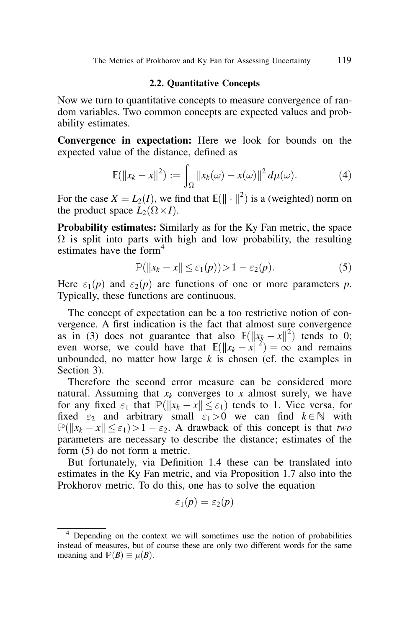### 2.2. Quantitative Concepts

Now we turn to quantitative concepts to measure convergence of random variables. Two common concepts are expected values and probability estimates.

Convergence in expectation: Here we look for bounds on the expected value of the distance, defined as

$$
\mathbb{E}(\|x_k - x\|^2) := \int_{\Omega} \|x_k(\omega) - x(\omega)\|^2 d\mu(\omega).
$$
 (4)

For the case  $X = L_2(I)$ , we find that  $\mathbb{E}(\|\cdot\|^2)$  is a (weighted) norm on the product space  $\hat{L_2}(\Omega \times I)$ .

**Probability estimates:** Similarly as for the Ky Fan metric, the space  $\Omega$  is split into parts with high and low probability, the resulting estimates have the form $4$ 

$$
\mathbb{P}(\|x_k - x\| \le \varepsilon_1(p)) > 1 - \varepsilon_2(p). \tag{5}
$$

Here  $\varepsilon_1(p)$  and  $\varepsilon_2(p)$  are functions of one or more parameters p. Typically, these functions are continuous.

The concept of expectation can be a too restrictive notion of convergence. A first indication is the fact that almost sure convergence as in (3) does not guarantee that also  $\mathbb{E}(\Vert x_k - x \Vert^2)$  tends to 0; even worse, we could have that  $\mathbb{E}(\Vert x_k - x \Vert^2) = \infty$  and remains unbounded, no matter how large  $k$  is chosen (cf. the examples in Section 3).

Therefore the second error measure can be considered more natural. Assuming that  $x_k$  converges to x almost surely, we have for any fixed  $\varepsilon_1$  that  $\mathbb{P}(\Vert x_k - x \Vert \leq \varepsilon_1)$  tends to 1. Vice versa, for fixed  $\varepsilon_2$  and arbitrary small  $\varepsilon_1>0$  we can find  $k\in\mathbb{N}$  with  $\mathbb{P}(\Vert x_k - x \Vert \leq \varepsilon_1) > 1 - \varepsilon_2$ . A drawback of this concept is that two parameters are necessary to describe the distance; estimates of the form (5) do not form a metric.

But fortunately, via Definition 1.4 these can be translated into estimates in the Ky Fan metric, and via Proposition 1.7 also into the Prokhorov metric. To do this, one has to solve the equation

$$
\varepsilon_1(p)=\varepsilon_2(p)
$$

<sup>4</sup> Depending on the context we will sometimes use the notion of probabilities instead of measures, but of course these are only two different words for the same meaning and  $\mathbb{P}(B) \equiv \mu(B)$ .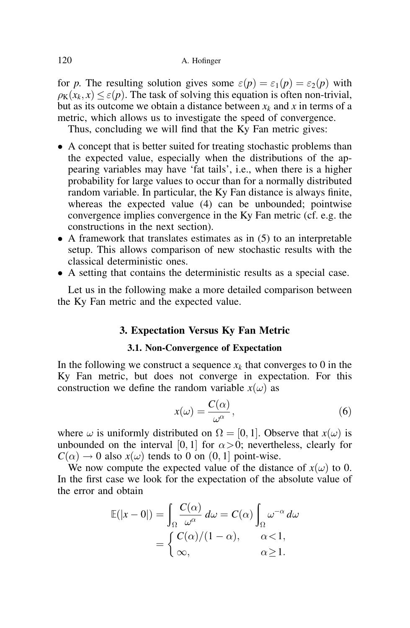for p. The resulting solution gives some  $\varepsilon(p) = \varepsilon_1(p) = \varepsilon_2(p)$  with  $\rho_K(x_k, x) \leq \varepsilon(p)$ . The task of solving this equation is often non-trivial, but as its outcome we obtain a distance between  $x_k$  and x in terms of a metric, which allows us to investigate the speed of convergence.

Thus, concluding we will find that the Ky Fan metric gives:

- A concept that is better suited for treating stochastic problems than the expected value, especially when the distributions of the appearing variables may have 'fat tails', i.e., when there is a higher probability for large values to occur than for a normally distributed random variable. In particular, the Ky Fan distance is always finite, whereas the expected value (4) can be unbounded; pointwise convergence implies convergence in the Ky Fan metric (cf. e.g. the constructions in the next section).
- $\bullet$  A framework that translates estimates as in (5) to an interpretable setup. This allows comparison of new stochastic results with the classical deterministic ones.
- A setting that contains the deterministic results as a special case.

Let us in the following make a more detailed comparison between the Ky Fan metric and the expected value.

## 3. Expectation Versus Ky Fan Metric

### 3.1. Non-Convergence of Expectation

In the following we construct a sequence  $x_k$  that converges to 0 in the Ky Fan metric, but does not converge in expectation. For this construction we define the random variable  $x(\omega)$  as

$$
x(\omega) = \frac{C(\alpha)}{\omega^{\alpha}},\tag{6}
$$

where  $\omega$  is uniformly distributed on  $\Omega = [0, 1]$ . Observe that  $x(\omega)$  is unbounded on the interval [0, 1] for  $\alpha > 0$ ; nevertheless, clearly for  $C(\alpha) \rightarrow 0$  also  $x(\omega)$  tends to 0 on  $(0, 1]$  point-wise.

We now compute the expected value of the distance of  $x(\omega)$  to 0. In the first case we look for the expectation of the absolute value of the error and obtain

$$
\mathbb{E}(|x - 0|) = \int_{\Omega} \frac{C(\alpha)}{\omega^{\alpha}} d\omega = C(\alpha) \int_{\Omega} \omega^{-\alpha} d\omega
$$

$$
= \begin{cases} C(\alpha)/(1 - \alpha), & \alpha < 1, \\ \infty, & \alpha \ge 1. \end{cases}
$$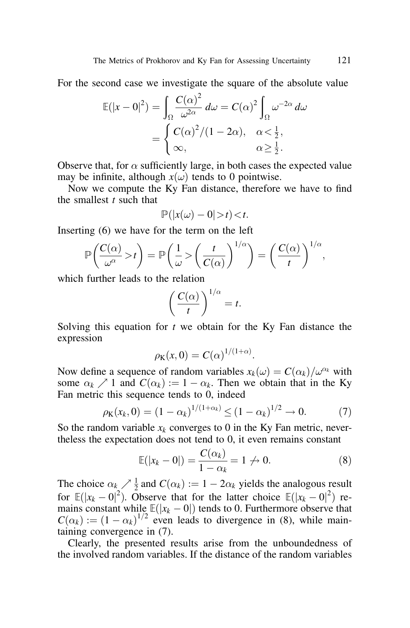For the second case we investigate the square of the absolute value

$$
\mathbb{E}(|x - 0|^2) = \int_{\Omega} \frac{C(\alpha)^2}{\omega^{2\alpha}} d\omega = C(\alpha)^2 \int_{\Omega} \omega^{-2\alpha} d\omega
$$

$$
= \begin{cases} C(\alpha)^2 / (1 - 2\alpha), & \alpha < \frac{1}{2}, \\ \infty, & \alpha \ge \frac{1}{2}. \end{cases}
$$

Observe that, for  $\alpha$  sufficiently large, in both cases the expected value may be infinite, although  $x(\omega)$  tends to 0 pointwise.

Now we compute the Ky Fan distance, therefore we have to find the smallest  $t$  such that

$$
\mathbb{P}(|x(\omega)-0|>t)
$$

Inserting (6) we have for the term on the left

$$
\mathbb{P}\left(\frac{C(\alpha)}{\omega^{\alpha}} > t\right) = \mathbb{P}\left(\frac{1}{\omega} > \left(\frac{t}{C(\alpha)}\right)^{1/\alpha}\right) = \left(\frac{C(\alpha)}{t}\right)^{1/\alpha},
$$

which further leads to the relation

$$
\left(\frac{C(\alpha)}{t}\right)^{1/\alpha}=t.
$$

Solving this equation for  $t$  we obtain for the Ky Fan distance the expression

$$
\rho_{\mathbf{K}}(x,0)=C(\alpha)^{1/(1+\alpha)}.
$$

Now define a sequence of random variables  $x_k(\omega) = C(\alpha_k)/\omega^{\alpha_k}$  with some  $\alpha_k \nearrow 1$  and  $C(\alpha_k) := 1 - \alpha_k$ . Then we obtain that in the Ky Fan metric this sequence tends to 0, indeed

$$
\rho_K(x_k, 0) = (1 - \alpha_k)^{1/(1 + \alpha_k)} \le (1 - \alpha_k)^{1/2} \to 0. \tag{7}
$$

So the random variable  $x_k$  converges to 0 in the Ky Fan metric, nevertheless the expectation does not tend to 0, it even remains constant

$$
\mathbb{E}(|x_k - 0|) = \frac{C(\alpha_k)}{1 - \alpha_k} = 1 \nleftrightarrow 0.
$$
\n(8)

The choice  $\alpha_k \nearrow \frac{1}{2}$  and  $C(\alpha_k) := 1 - 2\alpha_k$  yields the analogous result for  $\mathbb{E}(|x_k - 0|^2)$ . Observe that for the latter choice  $\mathbb{E}(|x_k - 0|^2)$  remains constant while  $\mathbb{E}(|x_k - 0|)$  tends to 0. Furthermore observe that  $C(\alpha_k) := (1 - \alpha_k)^{1/2}$  even leads to divergence in (8), while maintaining convergence in (7).

Clearly, the presented results arise from the unboundedness of the involved random variables. If the distance of the random variables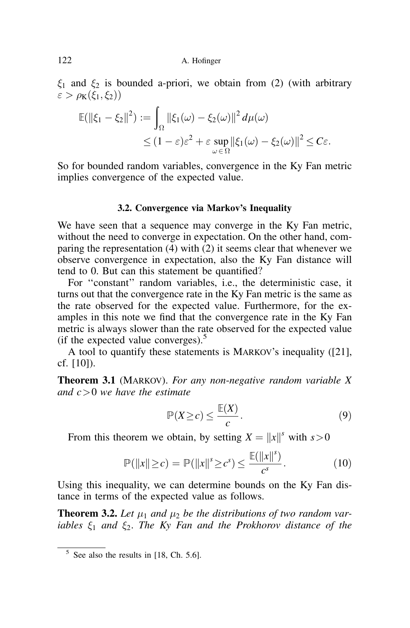$\xi_1$  and  $\xi_2$  is bounded a-priori, we obtain from (2) (with arbitrary  $\varepsilon > \rho_K(\xi_1, \xi_2)$ 

$$
\mathbb{E}(\|\xi_1 - \xi_2\|^2) := \int_{\Omega} \|\xi_1(\omega) - \xi_2(\omega)\|^2 d\mu(\omega)
$$
  

$$
\leq (1 - \varepsilon)\varepsilon^2 + \varepsilon \sup_{\omega \in \Omega} \|\xi_1(\omega) - \xi_2(\omega)\|^2 \leq C\varepsilon.
$$

So for bounded random variables, convergence in the Ky Fan metric implies convergence of the expected value.

### 3.2. Convergence via Markov's Inequality

We have seen that a sequence may converge in the Ky Fan metric, without the need to converge in expectation. On the other hand, comparing the representation (4) with (2) it seems clear that whenever we observe convergence in expectation, also the Ky Fan distance will tend to 0. But can this statement be quantified?

For ''constant'' random variables, i.e., the deterministic case, it turns out that the convergence rate in the Ky Fan metric is the same as the rate observed for the expected value. Furthermore, for the examples in this note we find that the convergence rate in the Ky Fan metric is always slower than the rate observed for the expected value (if the expected value converges). $<sup>5</sup>$ </sup>

A tool to quantify these statements is MARKOV's inequality ([21], cf. [10]).

**Theorem 3.1** (MARKOV). For any non-negative random variable  $X$ and  $c > 0$  we have the estimate

$$
\mathbb{P}(X \ge c) \le \frac{\mathbb{E}(X)}{c}.\tag{9}
$$

From this theorem we obtain, by setting  $X = ||x||^s$  with  $s > 0$ 

$$
\mathbb{P}(\|x\| \ge c) = \mathbb{P}(\|x\|^s \ge c^s) \le \frac{\mathbb{E}(\|x\|^s)}{c^s}.
$$
 (10)

Using this inequality, we can determine bounds on the Ky Fan distance in terms of the expected value as follows.

**Theorem 3.2.** Let  $\mu_1$  and  $\mu_2$  be the distributions of two random variables  $\xi_1$  and  $\xi_2$ . The Ky Fan and the Prokhorov distance of the

 $5$  See also the results in [18, Ch. 5.6].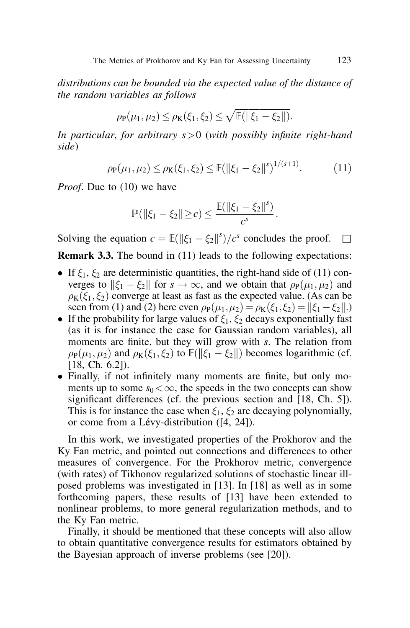distributions can be bounded via the expected value of the distance of the random variables as follows

$$
\rho_P(\mu_1, \mu_2) \le \rho_K(\xi_1, \xi_2) \le \sqrt{\mathbb{E}(\|\xi_1 - \xi_2\|)}.
$$

In particular, for arbitrary  $s > 0$  (with possibly infinite right-hand side)

$$
\rho_{\mathbf{P}}(\mu_1, \mu_2) \le \rho_{\mathbf{K}}(\xi_1, \xi_2) \le \mathbb{E}(\|\xi_1 - \xi_2\|^{s})^{1/(s+1)}.\tag{11}
$$

*Proof.* Due to (10) we have

$$
\mathbb{P}(\|\xi_1 - \xi_2\| \geq c) \leq \frac{\mathbb{E}(\|\xi_1 - \xi_2\|^s)}{c^s}.
$$

Solving the equation  $c = \mathbb{E}(\|\xi_1 - \xi_2\|^s)/c^s$  concludes the proof.  $\square$ 

**Remark 3.3.** The bound in (11) leads to the following expectations:

- If  $\xi_1, \xi_2$  are deterministic quantities, the right-hand side of (11) converges to  $\|\xi_1 - \xi_2\|$  for  $s \to \infty$ , and we obtain that  $\rho_P(\mu_1, \mu_2)$  and  $p_K(\xi_1, \xi_2)$  converge at least as fast as the expected value. (As can be seen from (1) and (2) here even  $\rho_P(\mu_1, \mu_2) = \rho_K(\xi_1, \xi_2) = ||\xi_1 - \xi_2||$ .)
- If the probability for large values of  $\xi_1, \xi_2$  decays exponentially fast (as it is for instance the case for Gaussian random variables), all moments are finite, but they will grow with s. The relation from  $\rho_P(\mu_1, \mu_2)$  and  $\rho_K(\xi_1, \xi_2)$  to  $\mathbb{E}(\|\xi_1 - \xi_2\|)$  becomes logarithmic (cf. [18, Ch. 6.2]).
- Finally, if not infinitely many moments are finite, but only moments up to some  $s_0 < \infty$ , the speeds in the two concepts can show significant differences (cf. the previous section and [18, Ch. 5]). This is for instance the case when  $\xi_1, \xi_2$  are decaying polynomially, or come from a Lévy-distribution ([4, 24]).

In this work, we investigated properties of the Prokhorov and the Ky Fan metric, and pointed out connections and differences to other measures of convergence. For the Prokhorov metric, convergence (with rates) of Tikhonov regularized solutions of stochastic linear illposed problems was investigated in [13]. In [18] as well as in some forthcoming papers, these results of [13] have been extended to nonlinear problems, to more general regularization methods, and to the Ky Fan metric.

Finally, it should be mentioned that these concepts will also allow to obtain quantitative convergence results for estimators obtained by the Bayesian approach of inverse problems (see [20]).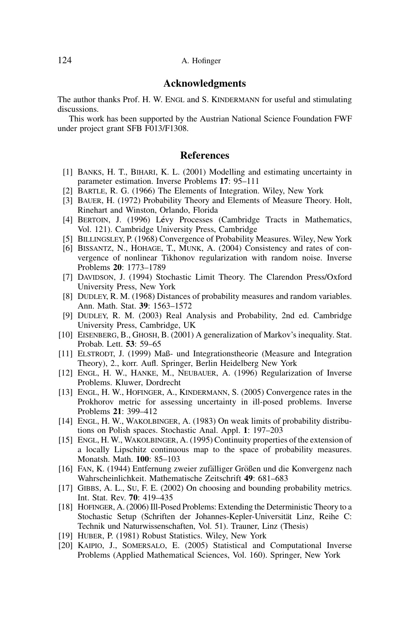### Acknowledgments

The author thanks Prof. H. W. ENGL and S. KINDERMANN for useful and stimulating discussions.

This work has been supported by the Austrian National Science Foundation FWF under project grant SFB F013/F1308.

### **References**

- [1] BANKS, H. T., BIHARI, K. L. (2001) Modelling and estimating uncertainty in parameter estimation. Inverse Problems 17: 95–111
- [2] BARTLE, R. G. (1966) The Elements of Integration. Wiley, New York
- [3] BAUER, H. (1972) Probability Theory and Elements of Measure Theory. Holt, Rinehart and Winston, Orlando, Florida
- [4] BERTOIN, J. (1996) Lévy Processes (Cambridge Tracts in Mathematics, Vol. 121). Cambridge University Press, Cambridge
- [5] BILLINGSLEY, P. (1968) Convergence of Probability Measures. Wiley, New York
- [6] BISSANTZ, N., HOHAGE, T., MUNK, A. (2004) Consistency and rates of convergence of nonlinear Tikhonov regularization with random noise. Inverse Problems 20: 1773–1789
- [7] DAVIDSON, J. (1994) Stochastic Limit Theory. The Clarendon Press/Oxford University Press, New York
- [8] DUDLEY, R. M. (1968) Distances of probability measures and random variables. Ann. Math. Stat. 39: 1563–1572
- [9] DUDLEY, R. M. (2003) Real Analysis and Probability, 2nd ed. Cambridge University Press, Cambridge, UK
- [10] EISENBERG, B., GHOSH, B. (2001) A generalization of Markov's inequality. Stat. Probab. Lett. 53: 59–65
- [11] ELSTRODT, J. (1999) Maß- und Integrationstheorie (Measure and Integration Theory), 2., korr. Aufl. Springer, Berlin Heidelberg New York
- [12] ENGL, H. W., HANKE, M., NEUBAUER, A. (1996) Regularization of Inverse Problems. Kluwer, Dordrecht
- [13] ENGL, H. W., HOFINGER, A., KINDERMANN, S. (2005) Convergence rates in the Prokhorov metric for assessing uncertainty in ill-posed problems. Inverse Problems 21: 399–412
- [14] ENGL, H. W., WAKOLBINGER, A. (1983) On weak limits of probability distributions on Polish spaces. Stochastic Anal. Appl. 1: 197–203
- [15] ENGL, H. W., WAKOLBINGER, A. (1995) Continuity properties of the extension of a locally Lipschitz continuous map to the space of probability measures. Monatsh. Math. 100: 85–103
- [16] FAN, K. (1944) Entfernung zweier zufälliger Größen und die Konvergenz nach Wahrscheinlichkeit. Mathematische Zeitschrift 49: 681–683
- [17] GIBBS, A. L., SU, F. E. (2002) On choosing and bounding probability metrics. Int. Stat. Rev. 70: 419–435
- [18] HOFINGER, A. (2006) Ill-Posed Problems: Extending the Deterministic Theory to a Stochastic Setup (Schriften der Johannes-Kepler-Universität Linz, Reihe C: Technik und Naturwissenschaften, Vol. 51). Trauner, Linz (Thesis)
- [19] HUBER, P. (1981) Robust Statistics. Wiley, New York
- [20] KAIPIO, J., SOMERSALO, E. (2005) Statistical and Computational Inverse Problems (Applied Mathematical Sciences, Vol. 160). Springer, New York